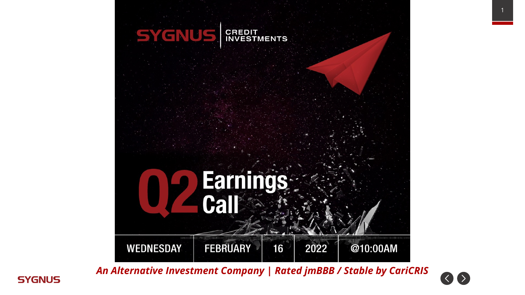

*An Alternative Investment Company | Rated jmBBB / Stable by CariCRIS*

![](_page_0_Picture_2.jpeg)

![](_page_0_Picture_3.jpeg)

1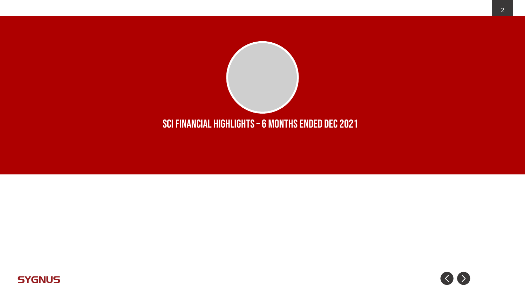![](_page_1_Picture_0.jpeg)

![](_page_1_Picture_1.jpeg)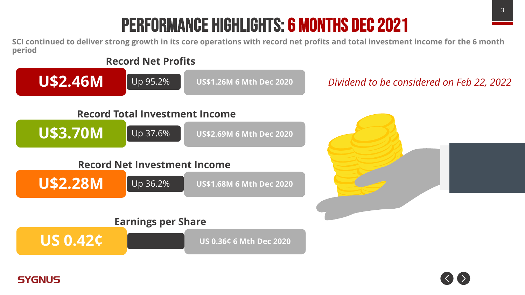# Performance Highlights: 6 months dec 2021

**SCI continued to deliver strong growth in its core operations with record net profits and total investment income for the 6 month period**

![](_page_2_Figure_2.jpeg)

![](_page_2_Picture_3.jpeg)

![](_page_2_Picture_4.jpeg)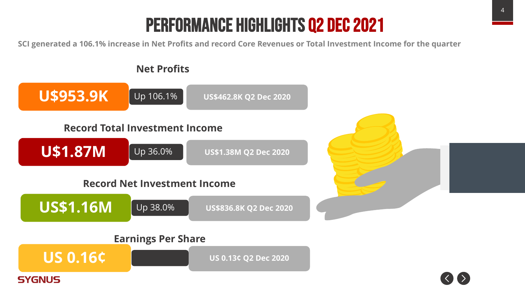# Performance Highlights q2 dec 2021

SCI generated a 106.1% increase in Net Profits and record Core Revenues or Total Investment Income for the quarter

![](_page_3_Figure_2.jpeg)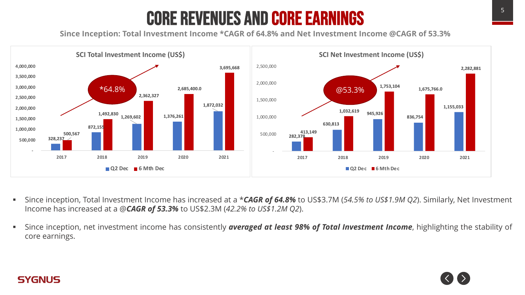# Core Revenues and Core Earnings

**Since Inception: Total Investment Income \*CAGR of 64.8% and Net Investment Income @CAGR of 53.3%**

![](_page_4_Figure_2.jpeg)

- § Since inception, Total Investment Income has increased at a \**CAGR of 64.8%* to US\$3.7M (*54.5% to US\$1.9M Q2*). Similarly, Net Investment Income has increased at a @*CAGR of 53.3%* to US\$2.3M (*42.2% to US\$1.2M Q2*).
- § Since inception, net investment income has consistently *averaged at least 98% of Total Investment Income*, highlighting the stability of core earnings.

![](_page_4_Picture_5.jpeg)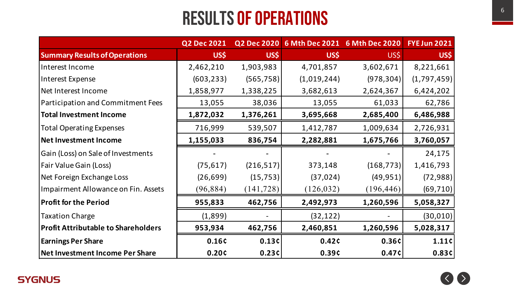### RESULTS OF OPERATIONS

|                                            | <b>Q2 Dec 2021</b> | <b>Q2 Dec 2020</b> |             | 6 Mth Dec 2021 6 Mth Dec 2020 | <b>FYE Jun 2021</b> |
|--------------------------------------------|--------------------|--------------------|-------------|-------------------------------|---------------------|
| <b>Summary Results of Operations</b>       | US\$               | US\$               | US\$        | US\$                          | US\$                |
| Interest Income                            | 2,462,210          | 1,903,983          | 4,701,857   | 3,602,671                     | 8,221,661           |
| Interest Expense                           | (603, 233)         | (565, 758)         | (1,019,244) | (978, 304)                    | (1,797,459)         |
| Net Interest Income                        | 1,858,977          | 1,338,225          | 3,682,613   | 2,624,367                     | 6,424,202           |
| Participation and Commitment Fees          | 13,055             | 38,036             | 13,055      | 61,033                        | 62,786              |
| <b>Total Investment Income</b>             | 1,872,032          | 1,376,261          | 3,695,668   | 2,685,400                     | 6,486,988           |
| <b>Total Operating Expenses</b>            | 716,999            | 539,507            | 1,412,787   | 1,009,634                     | 2,726,931           |
| <b>Net Investment Income</b>               | 1,155,033          | 836,754            | 2,282,881   | 1,675,766                     | 3,760,057           |
| Gain (Loss) on Sale of Investments         |                    |                    |             |                               | 24,175              |
| Fair Value Gain (Loss)                     | (75, 617)          | (216, 517)         | 373,148     | (168, 773)                    | 1,416,793           |
| Net Foreign Exchange Loss                  | (26, 699)          | (15, 753)          | (37, 024)   | (49, 951)                     | (72, 988)           |
| Impairment Allowance on Fin. Assets        | (96, 884)          | (141, 728)         | (126, 032)  | (196, 446)                    | (69, 710)           |
| <b>Profit for the Period</b>               | 955,833            | 462,756            | 2,492,973   | 1,260,596                     | 5,058,327           |
| <b>Taxation Charge</b>                     | (1,899)            |                    | (32, 122)   |                               | (30, 010)           |
| <b>Profit Attributable to Shareholders</b> | 953,934            | 462,756            | 2,460,851   | 1,260,596                     | 5,028,317           |
| <b>Earnings Per Share</b>                  | 0.16¢              | 0.13c              | 0.42c       | 0.36¢                         | 1.11c               |
| Net Investment Income Per Share            | 0.20c              | 0.23c              | 0.39¢       | 0.47c                         | 0.83c               |

![](_page_5_Picture_3.jpeg)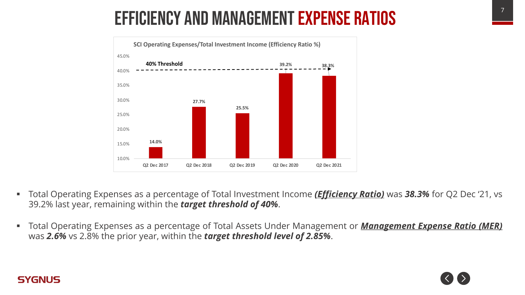# Efficiency and management expense ratios

![](_page_6_Figure_1.jpeg)

- § Total Operating Expenses as a percentage of Total Investment Income *(Efficiency Ratio)* was *38.3%* for Q2 Dec '21, vs 39.2% last year, remaining within the *target threshold of 40%*.
- § Total Operating Expenses as a percentage of Total Assets Under Management or *Management Expense Ratio (MER)* was *2.6%* vs 2.8% the prior year, within the *target threshold level of 2.85%*.

![](_page_6_Picture_4.jpeg)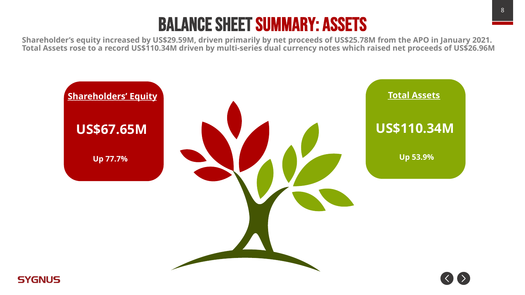### Balance Sheet Summary: Assets

**Shareholder's equity increased by US\$29.59M, driven primarily by net proceeds of US\$25.78M from the APO in January 2021. Total Assets rose to a record US\$110.34M driven by multi-series dual currency notes which raised net proceeds of US\$26.96M**

![](_page_7_Figure_2.jpeg)

![](_page_7_Picture_3.jpeg)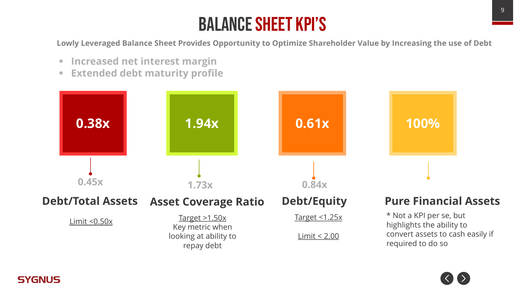## Balance sheet KPI's

**Lowly Leveraged Balance Sheet Provides Opportunity to Optimize Shareholder Value by Increasing the use of Debt**

§ **Increased net interest margin**

**SYGNUS** 

§ **Extended debt maturity profile**

![](_page_8_Figure_4.jpeg)

![](_page_8_Picture_5.jpeg)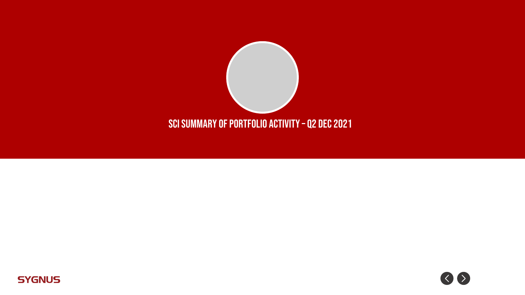![](_page_9_Picture_0.jpeg)

![](_page_9_Picture_1.jpeg)

![](_page_9_Picture_2.jpeg)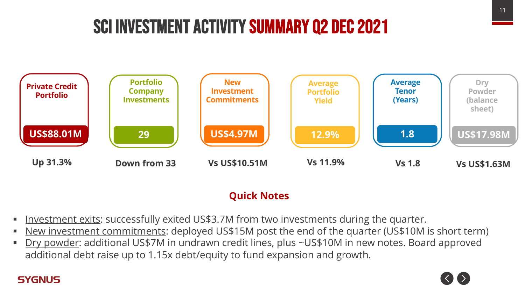# SCI Investment Activity Summary Q2 dec 2021

![](_page_10_Figure_1.jpeg)

#### **Quick Notes**

- Investment exits: successfully exited US\$3.7M from two investments during the quarter.
- New investment commitments: deployed US\$15M post the end of the quarter (US\$10M is short term)
- § Dry powder: additional US\$7M in undrawn credit lines, plus ~US\$10M in new notes. Board approved additional debt raise up to 1.15x debt/equity to fund expansion and growth.

![](_page_10_Picture_7.jpeg)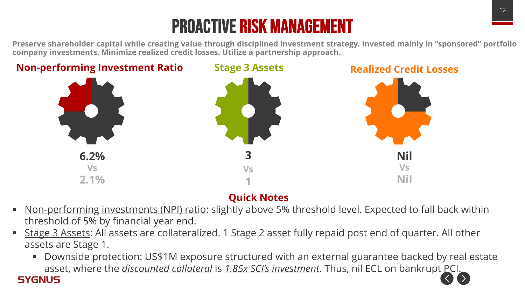# Proactive risk management

Preserve shareholder capital while creating value through disciplined investment strategy. Invested mainly in "sponsored" portfolio **company investments. Minimize realized credit losses. Utilize a partnership approach.**

![](_page_11_Figure_2.jpeg)

### **Quick Notes**

- Non-performing investments (NPI) ratio: slightly above 5% threshold level. Expected to fall back within threshold of 5% by financial year end.
- § Stage 3 Assets: All assets are collateralized. 1 Stage 2 asset fully repaid post end of quarter. All other assets are Stage 1.

**SYGNUS** 

**• Downside protection: US\$1M exposure structured with an external guarantee backed by real estate** asset, where the *discounted collateral* is 1.85x SCI's investment. Thus, nil ECL on bankrupt PCI.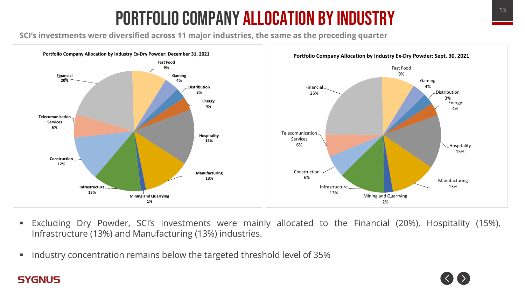# **PORTFOLIO COMPANY ALLOCATION BY INDUSTRY**

**SCI's investments were diversified across 11 major industries, the same as the preceding quarter**

![](_page_12_Figure_2.jpeg)

- § Excluding Dry Powder, SCI's investments were mainly allocated to the Financial (20%), Hospitality (15%), Infrastructure (13%) and Manufacturing (13%) industries.
- § Industry concentration remains below the targeted threshold level of 35%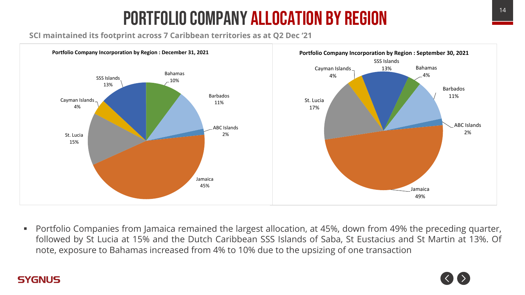# <sup>14</sup> Portfolio company allocation by Region

**SCI maintained its footprint across 7 Caribbean territories as at Q2 Dec '21**

**SYGNUS** 

![](_page_13_Figure_2.jpeg)

■ Portfolio Companies from Jamaica remained the largest allocation, at 45%, down from 49% the preceding quarter, followed by St Lucia at 15% and the Dutch Caribbean SSS Islands of Saba, St Eustacius and St Martin at 13%. Of note, exposure to Bahamas increased from 4% to 10% due to the upsizing of one transaction

![](_page_13_Picture_4.jpeg)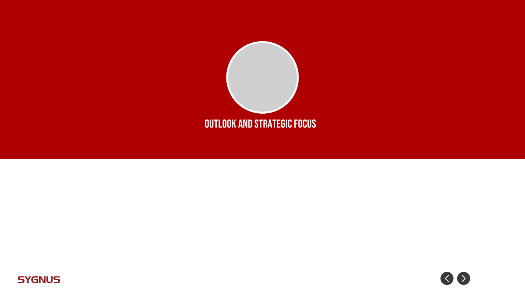![](_page_14_Picture_0.jpeg)

![](_page_14_Picture_1.jpeg)

![](_page_14_Picture_2.jpeg)